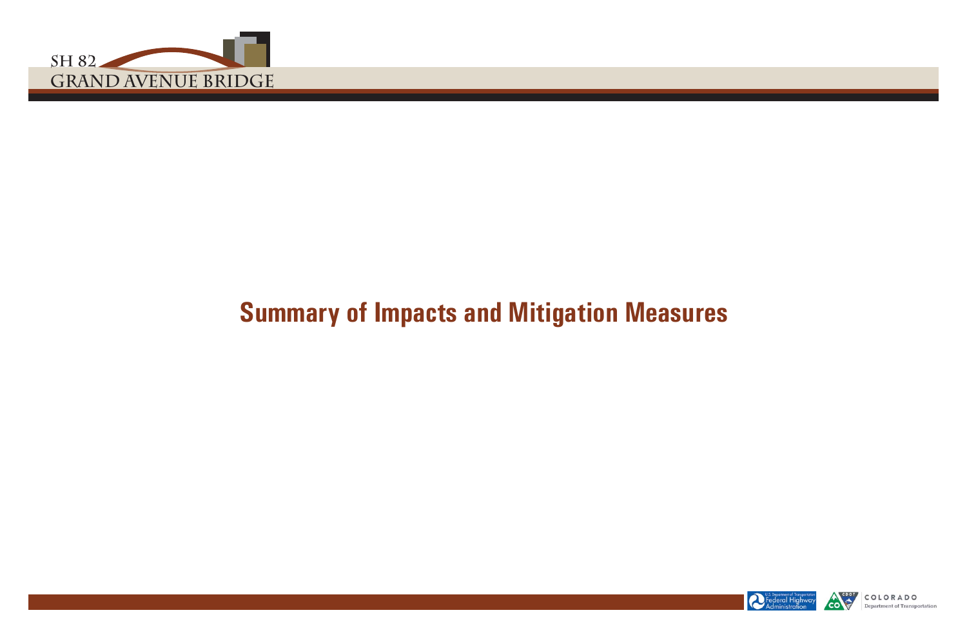







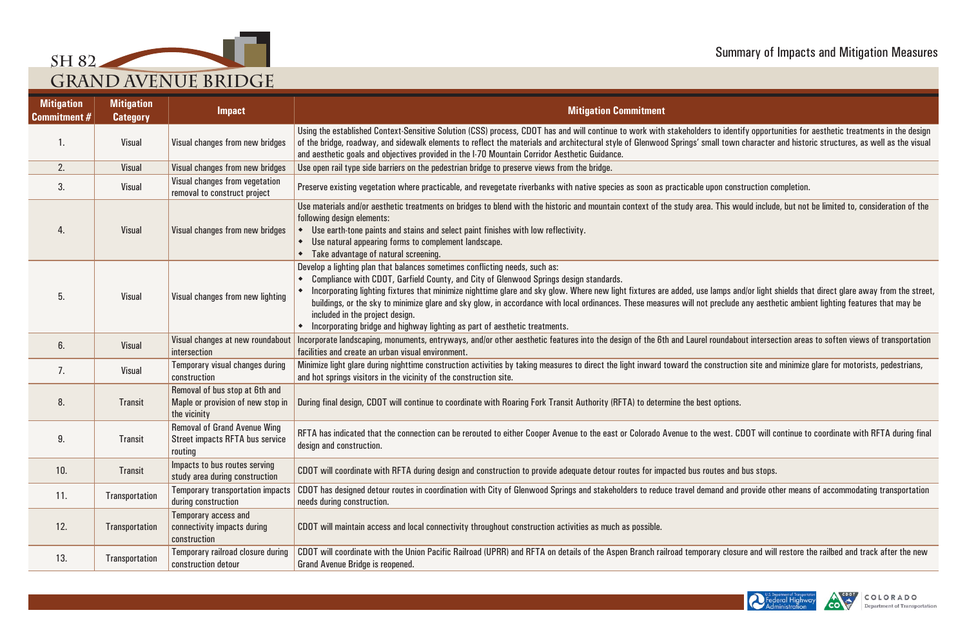

to identify opportunities for aesthetic treatments in the design nall town character and historic structures, as well as the visual

. This would include, but not be limited to, consideration of the

lamps and/or light shields that direct glare away from the street, preclude any aesthetic ambient lighting features that may be

roundabout intersection areas to soften views of transportation

onstruction site and minimize glare for motorists, pedestrians,

west. CDOT will continue to coordinate with RFTA during final

and and provide other means of accommodating transportation

ary closure and will restore the railbed and track after the new





| <b>Mitigation</b><br><b>Commitment #</b> | <b>Mitigation</b><br><b>Category</b> | <b>Impact</b>                                                                            | <b>Mitigation Commitment</b>                                                                                                                                                                                                                                                                                                                                                                                                                                                                                                                                                                    |
|------------------------------------------|--------------------------------------|------------------------------------------------------------------------------------------|-------------------------------------------------------------------------------------------------------------------------------------------------------------------------------------------------------------------------------------------------------------------------------------------------------------------------------------------------------------------------------------------------------------------------------------------------------------------------------------------------------------------------------------------------------------------------------------------------|
|                                          | <b>Visual</b>                        | Visual changes from new bridges                                                          | Using the established Context-Sensitive Solution (CSS) process, CDOT has and will continue to work with stakeholders to identify opportunities for<br>of the bridge, roadway, and sidewalk elements to reflect the materials and architectural style of Glenwood Springs' small town character and histo<br>and aesthetic goals and objectives provided in the I-70 Mountain Corridor Aesthetic Guidance.                                                                                                                                                                                       |
| 2.                                       | <b>Visual</b>                        | Visual changes from new bridges                                                          | Use open rail type side barriers on the pedestrian bridge to preserve views from the bridge.                                                                                                                                                                                                                                                                                                                                                                                                                                                                                                    |
| 3.                                       | <b>Visual</b>                        | Visual changes from vegetation<br>removal to construct project                           | Preserve existing vegetation where practicable, and revegetate riverbanks with native species as soon as practicable upon construction completion                                                                                                                                                                                                                                                                                                                                                                                                                                               |
| 4.                                       | <b>Visual</b>                        | Visual changes from new bridges                                                          | Use materials and/or aesthetic treatments on bridges to blend with the historic and mountain context of the study area. This would include, but not<br>following design elements:<br>Use earth-tone paints and stains and select paint finishes with low reflectivity.<br>Use natural appearing forms to complement landscape.<br>٠<br>Take advantage of natural screening.                                                                                                                                                                                                                     |
| 5.                                       | <b>Visual</b>                        | Visual changes from new lighting                                                         | Develop a lighting plan that balances sometimes conflicting needs, such as:<br>Compliance with CDOT, Garfield County, and City of Glenwood Springs design standards.<br>Incorporating lighting fixtures that minimize nighttime glare and sky glow. Where new light fixtures are added, use lamps and/or light shields that<br>buildings, or the sky to minimize glare and sky glow, in accordance with local ordinances. These measures will not preclude any aesthetic ambio<br>included in the project design.<br>Incorporating bridge and highway lighting as part of aesthetic treatments. |
| 6.                                       | <b>Visual</b>                        | Visual changes at new roundabout<br>intersection                                         | Incorporate landscaping, monuments, entryways, and/or other aesthetic features into the design of the 6th and Laurel roundabout intersection area<br>facilities and create an urban visual environment.                                                                                                                                                                                                                                                                                                                                                                                         |
| 7.                                       | <b>Visual</b>                        | Temporary visual changes during<br>construction                                          | Minimize light glare during nighttime construction activities by taking measures to direct the light inward toward the construction site and minimize<br>and hot springs visitors in the vicinity of the construction site.                                                                                                                                                                                                                                                                                                                                                                     |
| 8.                                       | <b>Transit</b>                       | Removal of bus stop at 6th and<br>Maple or provision of new stop in<br>the vicinity      | During final design, CDOT will continue to coordinate with Roaring Fork Transit Authority (RFTA) to determine the best options.                                                                                                                                                                                                                                                                                                                                                                                                                                                                 |
| 9.                                       | <b>Transit</b>                       | <b>Removal of Grand Avenue Wing</b><br><b>Street impacts RFTA bus service</b><br>routing | RFTA has indicated that the connection can be rerouted to either Cooper Avenue to the east or Colorado Avenue to the west. CDOT will continue to<br>design and construction.                                                                                                                                                                                                                                                                                                                                                                                                                    |
| 10.                                      | <b>Transit</b>                       | Impacts to bus routes serving<br>study area during construction                          | CDOT will coordinate with RFTA during design and construction to provide adequate detour routes for impacted bus routes and bus stops.                                                                                                                                                                                                                                                                                                                                                                                                                                                          |
| 11.                                      | <b>Transportation</b>                | <b>Temporary transportation impacts</b><br>during construction                           | CDOT has designed detour routes in coordination with City of Glenwood Springs and stakeholders to reduce travel demand and provide other means<br>needs during construction.                                                                                                                                                                                                                                                                                                                                                                                                                    |
| 12.                                      | <b>Transportation</b>                | <b>Temporary access and</b><br>connectivity impacts during<br>construction               | CDOT will maintain access and local connectivity throughout construction activities as much as possible.                                                                                                                                                                                                                                                                                                                                                                                                                                                                                        |
| 13.                                      | Transportation                       | Temporary railroad closure during<br>construction detour                                 | CDOT will coordinate with the Union Pacific Railroad (UPRR) and RFTA on details of the Aspen Branch railroad temporary closure and will restore t<br><b>Grand Avenue Bridge is reopened.</b>                                                                                                                                                                                                                                                                                                                                                                                                    |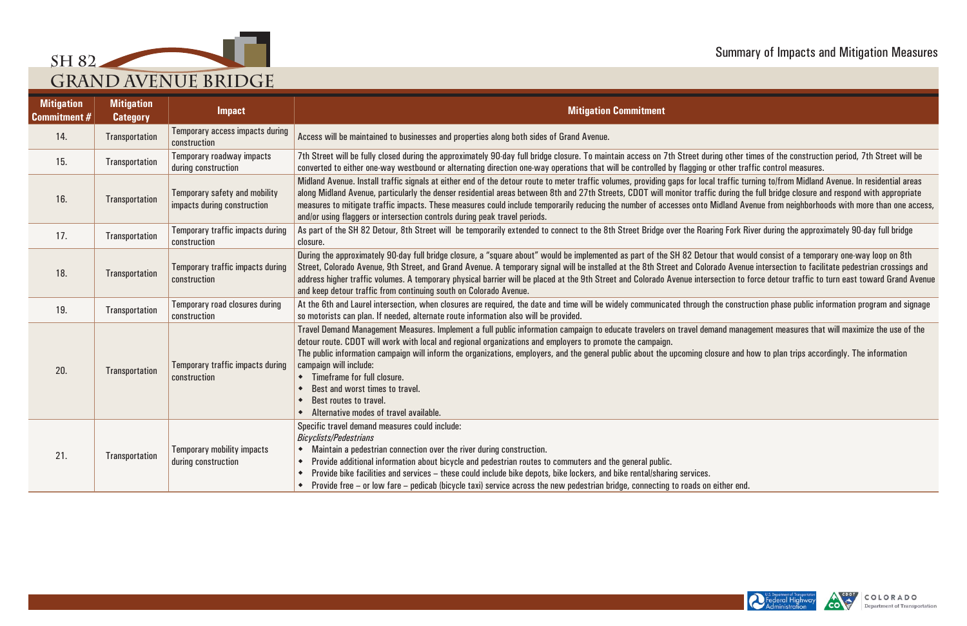

ur that would consist of a temporary one-way loop on 8th rado Avenue intersection to facilitate pedestrian crossings and section to force detour traffic to turn east toward Grand Avenue





| <b>Mitigation</b><br><b>Commitment #</b> | <b>Mitigation</b><br><b>Category</b> | <b>Impact</b>                                                       | <b>Mitigation Commitment</b>                                                                                                                                                                                                                                                                                                                                                                                                                                                                                                                                                                                                                              |
|------------------------------------------|--------------------------------------|---------------------------------------------------------------------|-----------------------------------------------------------------------------------------------------------------------------------------------------------------------------------------------------------------------------------------------------------------------------------------------------------------------------------------------------------------------------------------------------------------------------------------------------------------------------------------------------------------------------------------------------------------------------------------------------------------------------------------------------------|
| 14.                                      | Transportation                       | Temporary access impacts during<br>construction                     | Access will be maintained to businesses and properties along both sides of Grand Avenue.                                                                                                                                                                                                                                                                                                                                                                                                                                                                                                                                                                  |
| 15.                                      | Transportation                       | Temporary roadway impacts<br>during construction                    | 7th Street will be fully closed during the approximately 90-day full bridge closure. To maintain access on 7th Street during other times of the construction period, 7th Street will be<br>converted to either one-way westbound or alternating direction one-way operations that will be controlled by flagging or other traffic control measures.                                                                                                                                                                                                                                                                                                       |
| 16.                                      | <b>Transportation</b>                | <b>Temporary safety and mobility</b><br>impacts during construction | Midland Avenue. Install traffic signals at either end of the detour route to meter traffic volumes, providing gaps for local traffic turning to/from Midland Avenue. In residential areas<br>along Midland Avenue, particularly the denser residential areas between 8th and 27th Streets, CDOT will monitor traffic during the full bridge closure and respond with appropriate<br>measures to mitigate traffic impacts. These measures could include temporarily reducing the number of accesses onto Midland Avenue from neighborhoods with more than one acce<br>and/or using flaggers or intersection controls during peak travel periods.           |
| 17.                                      | Transportation                       | Temporary traffic impacts during<br>construction                    | As part of the SH 82 Detour, 8th Street will be temporarily extended to connect to the 8th Street Bridge over the Roaring Fork River during the approximately 90-day full bridge<br>closure.                                                                                                                                                                                                                                                                                                                                                                                                                                                              |
| 18.                                      | <b>Transportation</b>                | Temporary traffic impacts during<br>construction                    | During the approximately 90-day full bridge closure, a "square about" would be implemented as part of the SH 82 Detour that would consist of a temporary one-way loop on 8th<br>Street, Colorado Avenue, 9th Street, and Grand Avenue. A temporary signal will be installed at the 8th Street and Colorado Avenue intersection to facilitate pedestrian crossings an<br>address higher traffic volumes. A temporary physical barrier will be placed at the 9th Street and Colorado Avenue intersection to force detour traffic to turn east toward Grand Aver<br>and keep detour traffic from continuing south on Colorado Avenue.                        |
| 19.                                      | Transportation                       | Temporary road closures during<br>construction                      | At the 6th and Laurel intersection, when closures are required, the date and time will be widely communicated through the construction phase public information program and signarely construction.<br>so motorists can plan. If needed, alternate route information also will be provided.                                                                                                                                                                                                                                                                                                                                                               |
| 20.                                      | <b>Transportation</b>                | Temporary traffic impacts during<br>construction                    | Travel Demand Management Measures. Implement a full public information campaign to educate travelers on travel demand management measures that will maximize the use of the<br>detour route. CDOT will work with local and regional organizations and employers to promote the campaign.<br>The public information campaign will inform the organizations, employers, and the general public about the upcoming closure and how to plan trips accordingly. The information<br>campaign will include:<br>• Timeframe for full closure.<br>Best and worst times to travel.<br>Best routes to travel.<br>$\bullet$<br>Alternative modes of travel available. |
| 21.                                      | <b>Transportation</b>                | <b>Temporary mobility impacts</b><br>during construction            | Specific travel demand measures could include:<br><b>Bicyclists/Pedestrians</b><br>• Maintain a pedestrian connection over the river during construction.<br>Provide additional information about bicycle and pedestrian routes to commuters and the general public.<br>Provide bike facilities and services - these could include bike depots, bike lockers, and bike rental/sharing services.<br>$\bullet$<br>• Provide free – or low fare – pedicab (bicycle taxi) service across the new pedestrian bridge, connecting to roads on either end.                                                                                                        |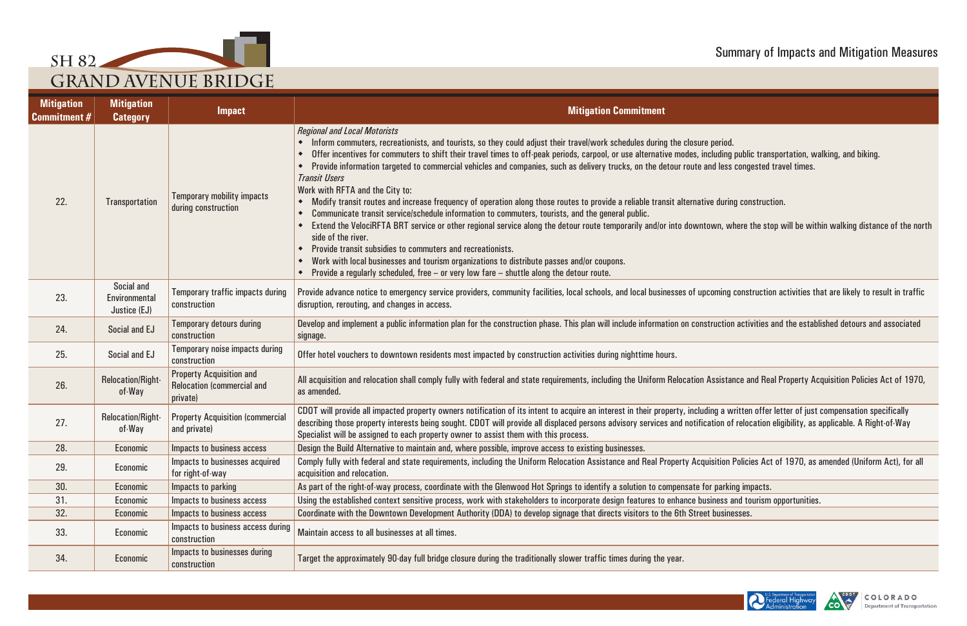





| <b>Mitigation</b><br><b>Commitment #</b> | <b>Mitigation</b><br><b>Category</b>        | <b>Impact</b>                                                                    | <b>Mitigation Commitment</b>                                                                                                                                                                                                                                                                                                                                                                                                                                                                                                                                                                                                                                                                                                                                                                                                                                                                                                                                                                                                                                                                                                                                                                                                                                                                             |
|------------------------------------------|---------------------------------------------|----------------------------------------------------------------------------------|----------------------------------------------------------------------------------------------------------------------------------------------------------------------------------------------------------------------------------------------------------------------------------------------------------------------------------------------------------------------------------------------------------------------------------------------------------------------------------------------------------------------------------------------------------------------------------------------------------------------------------------------------------------------------------------------------------------------------------------------------------------------------------------------------------------------------------------------------------------------------------------------------------------------------------------------------------------------------------------------------------------------------------------------------------------------------------------------------------------------------------------------------------------------------------------------------------------------------------------------------------------------------------------------------------|
| 22.                                      | <b>Transportation</b>                       | <b>Temporary mobility impacts</b><br>during construction                         | <b>Regional and Local Motorists</b><br>Inform commuters, recreationists, and tourists, so they could adjust their travel/work schedules during the closure period.<br>Offer incentives for commuters to shift their travel times to off-peak periods, carpool, or use alternative modes, including public transportation, walking, and biking.<br>٠<br>Provide information targeted to commercial vehicles and companies, such as delivery trucks, on the detour route and less congested travel times.<br><b>Transit Users</b><br>Work with RFTA and the City to:<br>Modify transit routes and increase frequency of operation along those routes to provide a reliable transit alternative during construction.<br>٠<br>Communicate transit service/schedule information to commuters, tourists, and the general public.<br>٠<br>Extend the VelociRFTA BRT service or other regional service along the detour route temporarily and/or into downtown, where the stop will be within walking distance of the nort<br>side of the river.<br>Provide transit subsidies to commuters and recreationists.<br>Work with local businesses and tourism organizations to distribute passes and/or coupons.<br>٠<br>Provide a regularly scheduled, free $-$ or very low fare $-$ shuttle along the detour route. |
| 23.                                      | Social and<br>Environmental<br>Justice (EJ) | Temporary traffic impacts during<br>construction                                 | Provide advance notice to emergency service providers, community facilities, local schools, and local businesses of upcoming construction activities that are likely to result in traffic<br>disruption, rerouting, and changes in access.                                                                                                                                                                                                                                                                                                                                                                                                                                                                                                                                                                                                                                                                                                                                                                                                                                                                                                                                                                                                                                                               |
| 24.                                      | Social and EJ                               | <b>Temporary detours during</b><br>construction                                  | Develop and implement a public information plan for the construction phase. This plan will include information on construction activities and the established detours and associated<br>signage.                                                                                                                                                                                                                                                                                                                                                                                                                                                                                                                                                                                                                                                                                                                                                                                                                                                                                                                                                                                                                                                                                                         |
| 25.                                      | Social and EJ                               | Temporary noise impacts during<br>construction                                   | Offer hotel vouchers to downtown residents most impacted by construction activities during nighttime hours.                                                                                                                                                                                                                                                                                                                                                                                                                                                                                                                                                                                                                                                                                                                                                                                                                                                                                                                                                                                                                                                                                                                                                                                              |
| 26.                                      | Relocation/Right-<br>of-Way                 | <b>Property Acquisition and</b><br><b>Relocation (commercial and</b><br>private) | All acquisition and relocation shall comply fully with federal and state requirements, including the Uniform Relocation Assistance and Real Property Acquisition Policies Act of 1970,<br>as amended.                                                                                                                                                                                                                                                                                                                                                                                                                                                                                                                                                                                                                                                                                                                                                                                                                                                                                                                                                                                                                                                                                                    |
| 27.                                      | Relocation/Right-<br>of-Way                 | <b>Property Acquisition (commercial</b><br>and private)                          | CDOT will provide all impacted property owners notification of its intent to acquire an interest in their property, including a written offer letter of just compensation specifically<br>describing those property interests being sought. CDOT will provide all displaced persons advisory services and notification of relocation eligibility, as applicable. A Right-of-Way<br>Specialist will be assigned to each property owner to assist them with this process.                                                                                                                                                                                                                                                                                                                                                                                                                                                                                                                                                                                                                                                                                                                                                                                                                                  |
| 28.                                      | <b>Economic</b>                             | Impacts to business access                                                       | Design the Build Alternative to maintain and, where possible, improve access to existing businesses.                                                                                                                                                                                                                                                                                                                                                                                                                                                                                                                                                                                                                                                                                                                                                                                                                                                                                                                                                                                                                                                                                                                                                                                                     |
| 29.                                      | Economic                                    | Impacts to businesses acquired<br>for right-of-way                               | Comply fully with federal and state requirements, including the Uniform Relocation Assistance and Real Property Acquisition Policies Act of 1970, as amended (Uniform Act), for all<br>acquisition and relocation.                                                                                                                                                                                                                                                                                                                                                                                                                                                                                                                                                                                                                                                                                                                                                                                                                                                                                                                                                                                                                                                                                       |
| 30.                                      | Economic                                    | Impacts to parking                                                               | As part of the right-of-way process, coordinate with the Glenwood Hot Springs to identify a solution to compensate for parking impacts.                                                                                                                                                                                                                                                                                                                                                                                                                                                                                                                                                                                                                                                                                                                                                                                                                                                                                                                                                                                                                                                                                                                                                                  |
| 31.                                      | Economic                                    | Impacts to business access                                                       | Using the established context sensitive process, work with stakeholders to incorporate design features to enhance business and tourism opportunities.                                                                                                                                                                                                                                                                                                                                                                                                                                                                                                                                                                                                                                                                                                                                                                                                                                                                                                                                                                                                                                                                                                                                                    |
| 32.                                      | Economic                                    | Impacts to business access                                                       | Coordinate with the Downtown Development Authority (DDA) to develop signage that directs visitors to the 6th Street businesses.                                                                                                                                                                                                                                                                                                                                                                                                                                                                                                                                                                                                                                                                                                                                                                                                                                                                                                                                                                                                                                                                                                                                                                          |
| 33.                                      | Economic                                    | Impacts to business access during<br>construction                                | Maintain access to all businesses at all times.                                                                                                                                                                                                                                                                                                                                                                                                                                                                                                                                                                                                                                                                                                                                                                                                                                                                                                                                                                                                                                                                                                                                                                                                                                                          |
| 34.                                      | Economic                                    | Impacts to businesses during<br>construction                                     | Target the approximately 90-day full bridge closure during the traditionally slower traffic times during the year.                                                                                                                                                                                                                                                                                                                                                                                                                                                                                                                                                                                                                                                                                                                                                                                                                                                                                                                                                                                                                                                                                                                                                                                       |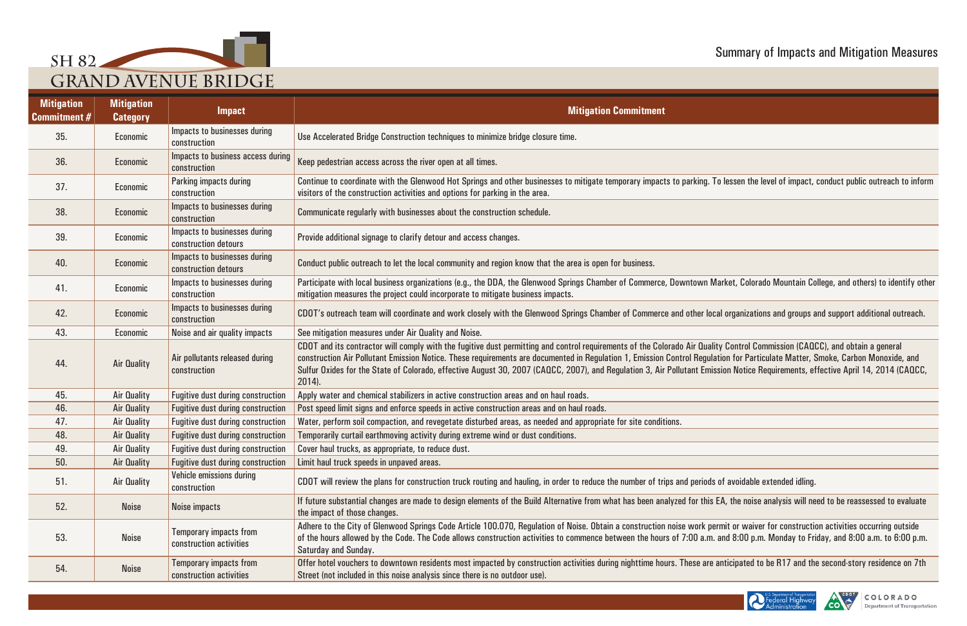

| <b>Mitigation</b><br><b>Commitment #</b> | <b>Mitigation</b><br><b>Category</b> | <b>Impact</b>                                            | <b>Mitigation Commitment</b>                                                                                                                                                                                                                                                                                                                                                     |
|------------------------------------------|--------------------------------------|----------------------------------------------------------|----------------------------------------------------------------------------------------------------------------------------------------------------------------------------------------------------------------------------------------------------------------------------------------------------------------------------------------------------------------------------------|
| 35.                                      | Economic                             | Impacts to businesses during<br>construction             | Use Accelerated Bridge Construction techniques to minimize bridge closure time.                                                                                                                                                                                                                                                                                                  |
| 36.                                      | Economic                             | Impacts to business access during<br>construction        | Keep pedestrian access across the river open at all times.                                                                                                                                                                                                                                                                                                                       |
| 37.                                      | Economic                             | Parking impacts during<br>construction                   | Continue to coordinate with the Glenwood Hot Springs and other businesses to mitigate temporary impacts to parking.<br>visitors of the construction activities and options for parking in the area.                                                                                                                                                                              |
| 38.                                      | Economic                             | Impacts to businesses during<br>construction             | Communicate regularly with businesses about the construction schedule.                                                                                                                                                                                                                                                                                                           |
| 39.                                      | Economic                             | Impacts to businesses during<br>construction detours     | Provide additional signage to clarify detour and access changes.                                                                                                                                                                                                                                                                                                                 |
| 40.                                      | <b>Economic</b>                      | Impacts to businesses during<br>construction detours     | Conduct public outreach to let the local community and region know that the area is open for business.                                                                                                                                                                                                                                                                           |
| 41.                                      | Economic                             | Impacts to businesses during<br>construction             | Participate with local business organizations (e.g., the DDA, the Glenwood Springs Chamber of Commerce, Downtown<br>mitigation measures the project could incorporate to mitigate business impacts.                                                                                                                                                                              |
| 42.                                      | Economic                             | Impacts to businesses during<br>construction             | CDOT's outreach team will coordinate and work closely with the Glenwood Springs Chamber of Commerce and other Io                                                                                                                                                                                                                                                                 |
| 43.                                      | Economic                             | Noise and air quality impacts                            | See mitigation measures under Air Quality and Noise.                                                                                                                                                                                                                                                                                                                             |
| 44.                                      | <b>Air Quality</b>                   | Air pollutants released during<br>construction           | CDOT and its contractor will comply with the fugitive dust permitting and control requirements of the Colorado Air Qua<br>construction Air Pollutant Emission Notice. These requirements are documented in Regulation 1, Emission Control Regu<br>Sulfur Oxides for the State of Colorado, effective August 30, 2007 (CAQCC, 2007), and Regulation 3, Air Pollutant Em<br>2014). |
| 45.                                      | Air Quality                          | <b>Fugitive dust during construction</b>                 | Apply water and chemical stabilizers in active construction areas and on haul roads.                                                                                                                                                                                                                                                                                             |
| 46.                                      | Air Quality                          | <b>Fugitive dust during construction</b>                 | Post speed limit signs and enforce speeds in active construction areas and on haul roads.                                                                                                                                                                                                                                                                                        |
| 47.                                      | Air Quality                          | <b>Fugitive dust during construction</b>                 | Water, perform soil compaction, and revegetate disturbed areas, as needed and appropriate for site conditions.                                                                                                                                                                                                                                                                   |
| 48.                                      | Air Quality                          | <b>Fugitive dust during construction</b>                 | Temporarily curtail earthmoving activity during extreme wind or dust conditions.                                                                                                                                                                                                                                                                                                 |
| 49.                                      | Air Quality                          | <b>Fugitive dust during construction</b>                 | Cover haul trucks, as appropriate, to reduce dust.                                                                                                                                                                                                                                                                                                                               |
| 50.                                      | Air Quality                          | <b>Fugitive dust during construction</b>                 | Limit haul truck speeds in unpaved areas.                                                                                                                                                                                                                                                                                                                                        |
| 51.                                      | Air Quality                          | Vehicle emissions during<br>construction                 | CDOT will review the plans for construction truck routing and hauling, in order to reduce the number of trips and period                                                                                                                                                                                                                                                         |
| 52.                                      | <b>Noise</b>                         | <b>Noise impacts</b>                                     | If future substantial changes are made to design elements of the Build Alternative from what has been analyzed for this<br>the impact of those changes.                                                                                                                                                                                                                          |
| 53.                                      | <b>Noise</b>                         | Temporary impacts from<br>construction activities        | Adhere to the City of Glenwood Springs Code Article 100.070, Regulation of Noise. Obtain a construction noise work p<br>of the hours allowed by the Code. The Code allows construction activities to commence between the hours of 7:00 a.n<br>Saturday and Sunday.                                                                                                              |
| 54.                                      | <b>Noise</b>                         | <b>Temporary impacts from</b><br>construction activities | Offer hotel vouchers to downtown residents most impacted by construction activities during nighttime hours. These are<br>Street (not included in this noise analysis since there is no outdoor use).                                                                                                                                                                             |

. To lessen the level of impact, conduct public outreach to inform

Market, Colorado Mountain College, and others) to identify other

**COTTT** or outreach team wiscondinate and support additional outreach.

ality Control Commission (CAQCC), and obtain a general construction Air Pollutant Emission Emission Control and deregulation for Particulate Matter, Control Regulation Control Regulation for Particulate Matter, Smoke, Carbon Monoxide, and nission Notice Requirements, effective April 14, 2014 (CAQCC,

ds of avoidable extended idling.

is EA, the noise analysis will need to be reassessed to evaluate

permit or waiver for construction activities occurring outside<br>m. and 8:00 p.m. Monday to Friday, and 8:00 a.m. to 6:00 p.m.

re anticipated to be R17 and the second-story residence on 7th



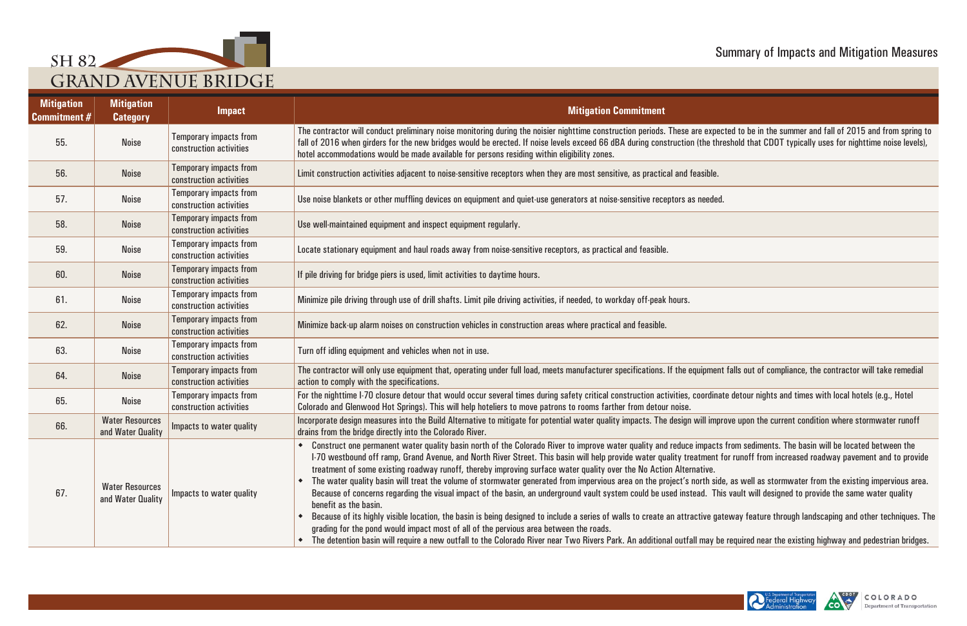

| <b>Mitigation</b><br><b>Commitment #</b> | <b>Mitigation</b><br><b>Category</b>        | <b>Impact</b>                                            | <b>Mitigation Commitment</b>                                                                                                                                                                                                                                                                                                                                                                                                                                                                                                                                                                                                                                                                                                                                                                                                                                                                                                                                                                                                                                                                                                                                                                                                                                                                                                                                       |
|------------------------------------------|---------------------------------------------|----------------------------------------------------------|--------------------------------------------------------------------------------------------------------------------------------------------------------------------------------------------------------------------------------------------------------------------------------------------------------------------------------------------------------------------------------------------------------------------------------------------------------------------------------------------------------------------------------------------------------------------------------------------------------------------------------------------------------------------------------------------------------------------------------------------------------------------------------------------------------------------------------------------------------------------------------------------------------------------------------------------------------------------------------------------------------------------------------------------------------------------------------------------------------------------------------------------------------------------------------------------------------------------------------------------------------------------------------------------------------------------------------------------------------------------|
| 55.                                      | <b>Noise</b>                                | <b>Temporary impacts from</b><br>construction activities | The contractor will conduct preliminary noise monitoring during the noisier nighttime construction periods. These are expected to be in the summer and fall of 2015 and from spring to<br>fall of 2016 when girders for the new bridges would be erected. If noise levels exceed 66 dBA during construction (the threshold that CDOT typically uses for nighttime noise levels),<br>hotel accommodations would be made available for persons residing within eligibility zones.                                                                                                                                                                                                                                                                                                                                                                                                                                                                                                                                                                                                                                                                                                                                                                                                                                                                                    |
| 56.                                      | <b>Noise</b>                                | <b>Temporary impacts from</b><br>construction activities | Limit construction activities adjacent to noise-sensitive receptors when they are most sensitive, as practical and feasible.                                                                                                                                                                                                                                                                                                                                                                                                                                                                                                                                                                                                                                                                                                                                                                                                                                                                                                                                                                                                                                                                                                                                                                                                                                       |
| 57.                                      | <b>Noise</b>                                | <b>Temporary impacts from</b><br>construction activities | Use noise blankets or other muffling devices on equipment and quiet-use generators at noise-sensitive receptors as needed.                                                                                                                                                                                                                                                                                                                                                                                                                                                                                                                                                                                                                                                                                                                                                                                                                                                                                                                                                                                                                                                                                                                                                                                                                                         |
| 58.                                      | <b>Noise</b>                                | <b>Temporary impacts from</b><br>construction activities | Use well-maintained equipment and inspect equipment regularly.                                                                                                                                                                                                                                                                                                                                                                                                                                                                                                                                                                                                                                                                                                                                                                                                                                                                                                                                                                                                                                                                                                                                                                                                                                                                                                     |
| 59.                                      | <b>Noise</b>                                | <b>Temporary impacts from</b><br>construction activities | Locate stationary equipment and haul roads away from noise-sensitive receptors, as practical and feasible.                                                                                                                                                                                                                                                                                                                                                                                                                                                                                                                                                                                                                                                                                                                                                                                                                                                                                                                                                                                                                                                                                                                                                                                                                                                         |
| 60.                                      | <b>Noise</b>                                | <b>Temporary impacts from</b><br>construction activities | If pile driving for bridge piers is used, limit activities to daytime hours.                                                                                                                                                                                                                                                                                                                                                                                                                                                                                                                                                                                                                                                                                                                                                                                                                                                                                                                                                                                                                                                                                                                                                                                                                                                                                       |
| 61.                                      | <b>Noise</b>                                | <b>Temporary impacts from</b><br>construction activities | Minimize pile driving through use of drill shafts. Limit pile driving activities, if needed, to workday off-peak hours.                                                                                                                                                                                                                                                                                                                                                                                                                                                                                                                                                                                                                                                                                                                                                                                                                                                                                                                                                                                                                                                                                                                                                                                                                                            |
| 62.                                      | <b>Noise</b>                                | <b>Temporary impacts from</b><br>construction activities | Minimize back-up alarm noises on construction vehicles in construction areas where practical and feasible.                                                                                                                                                                                                                                                                                                                                                                                                                                                                                                                                                                                                                                                                                                                                                                                                                                                                                                                                                                                                                                                                                                                                                                                                                                                         |
| 63.                                      | <b>Noise</b>                                | <b>Temporary impacts from</b><br>construction activities | Turn off idling equipment and vehicles when not in use.                                                                                                                                                                                                                                                                                                                                                                                                                                                                                                                                                                                                                                                                                                                                                                                                                                                                                                                                                                                                                                                                                                                                                                                                                                                                                                            |
| 64.                                      | <b>Noise</b>                                | <b>Temporary impacts from</b><br>construction activities | The contractor will only use equipment that, operating under full load, meets manufacturer specifications. If the equipment falls out of compliance, the contractor will take remedial<br>action to comply with the specifications.                                                                                                                                                                                                                                                                                                                                                                                                                                                                                                                                                                                                                                                                                                                                                                                                                                                                                                                                                                                                                                                                                                                                |
| 65.                                      | <b>Noise</b>                                | <b>Temporary impacts from</b><br>construction activities | For the nighttime I-70 closure detour that would occur several times during safety critical construction activities, coordinate detour nights and times with local hotels (e.g., Hotel<br>Colorado and Glenwood Hot Springs). This will help hoteliers to move patrons to rooms farther from detour noise.                                                                                                                                                                                                                                                                                                                                                                                                                                                                                                                                                                                                                                                                                                                                                                                                                                                                                                                                                                                                                                                         |
| 66.                                      | <b>Water Resources</b><br>and Water Quality | Impacts to water quality                                 | Incorporate design measures into the Build Alternative to mitigate for potential water quality impacts. The design will improve upon the current condition where stormwater runoff<br>drains from the bridge directly into the Colorado River.                                                                                                                                                                                                                                                                                                                                                                                                                                                                                                                                                                                                                                                                                                                                                                                                                                                                                                                                                                                                                                                                                                                     |
| 67.                                      | <b>Water Resources</b><br>and Water Quality | Impacts to water quality                                 | Construct one permanent water quality basin north of the Colorado River to improve water quality and reduce impacts from sediments. The basin will be located between the<br>1-70 westbound off ramp, Grand Avenue, and North River Street. This basin will help provide water quality treatment for runoff from increased roadway pavement and to provide<br>treatment of some existing roadway runoff, thereby improving surface water quality over the No Action Alternative.<br>The water quality basin will treat the volume of stormwater generated from impervious area on the project's north side, as well as stormwater from the existing impervious area.<br>$\bullet$<br>Because of concerns regarding the visual impact of the basin, an underground vault system could be used instead. This vault will designed to provide the same water quality<br>benefit as the basin.<br>Because of its highly visible location, the basin is being designed to include a series of walls to create an attractive gateway feature through landscaping and other techniques. The<br>grading for the pond would impact most of all of the pervious area between the roads.<br>The detention basin will require a new outfall to the Colorado River near Two Rivers Park. An additional outfall may be required near the existing highway and pedestrian bridges. |

| le.                                                                                                                             |
|---------------------------------------------------------------------------------------------------------------------------------|
| ded.                                                                                                                            |
|                                                                                                                                 |
|                                                                                                                                 |
|                                                                                                                                 |
|                                                                                                                                 |
|                                                                                                                                 |
|                                                                                                                                 |
| ent falls out of compliance, the contractor will take remedial                                                                  |
| linate detour nights and times with local hotels (e.g., Hotel                                                                   |
| mprove upon the current condition where stormwater runoff                                                                       |
| cts from sediments. The basin will be located between the<br>nt for runoff from increased roadway pavement and to provide<br>ì. |
| side, as well as stormwater from the existing impervious area.<br>This vault will designed to provide the same water quality    |
| gateway feature through landscaping and other techniques. The                                                                   |
|                                                                                                                                 |



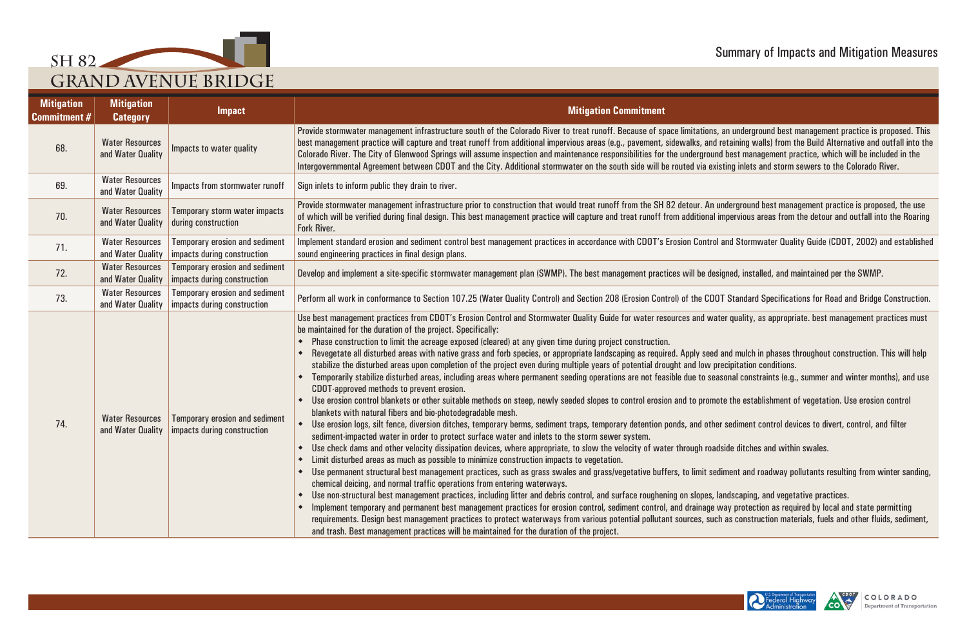





| <b>Mitigation</b><br><b>Commitment #</b> | <b>Mitigation</b><br><b>Category</b>        | <b>Impact</b>                                                        | <b>Mitigation Commitment</b>                                                                                                                                                                                                                                                                                                                                                                                                                                                                                                                                                                                                                                                                                                                                                                                                                                                                                                                                                                                                                                                                                                                                                                                                                                                                                                                                                                                                                                                                                                                                                                                                                                                                                                                                                                                                                                                                                                                                                                                                                                                                                                                                                                                                                                                                                                                                                                                                                                                                                                                                                                                                                          |
|------------------------------------------|---------------------------------------------|----------------------------------------------------------------------|-------------------------------------------------------------------------------------------------------------------------------------------------------------------------------------------------------------------------------------------------------------------------------------------------------------------------------------------------------------------------------------------------------------------------------------------------------------------------------------------------------------------------------------------------------------------------------------------------------------------------------------------------------------------------------------------------------------------------------------------------------------------------------------------------------------------------------------------------------------------------------------------------------------------------------------------------------------------------------------------------------------------------------------------------------------------------------------------------------------------------------------------------------------------------------------------------------------------------------------------------------------------------------------------------------------------------------------------------------------------------------------------------------------------------------------------------------------------------------------------------------------------------------------------------------------------------------------------------------------------------------------------------------------------------------------------------------------------------------------------------------------------------------------------------------------------------------------------------------------------------------------------------------------------------------------------------------------------------------------------------------------------------------------------------------------------------------------------------------------------------------------------------------------------------------------------------------------------------------------------------------------------------------------------------------------------------------------------------------------------------------------------------------------------------------------------------------------------------------------------------------------------------------------------------------------------------------------------------------------------------------------------------------|
| 68.                                      | <b>Water Resources</b><br>and Water Quality | Impacts to water quality                                             | Provide stormwater management infrastructure south of the Colorado River to treat runoff. Because of space limitations, an underground best management practice is proposed. This<br>best management practice will capture and treat runoff from additional impervious areas (e.g., pavement, sidewalks, and retaining walls) from the Build Alternative and outfall into the<br>Colorado River. The City of Glenwood Springs will assume inspection and maintenance responsibilities for the underground best management practice, which will be included in the<br>Intergovernmental Agreement between CDOT and the City. Additional stormwater on the south side will be routed via existing inlets and storm sewers to the Colorado River.                                                                                                                                                                                                                                                                                                                                                                                                                                                                                                                                                                                                                                                                                                                                                                                                                                                                                                                                                                                                                                                                                                                                                                                                                                                                                                                                                                                                                                                                                                                                                                                                                                                                                                                                                                                                                                                                                                        |
| 69.                                      | <b>Water Resources</b><br>and Water Quality | Impacts from stormwater runoff                                       | Sign inlets to inform public they drain to river.                                                                                                                                                                                                                                                                                                                                                                                                                                                                                                                                                                                                                                                                                                                                                                                                                                                                                                                                                                                                                                                                                                                                                                                                                                                                                                                                                                                                                                                                                                                                                                                                                                                                                                                                                                                                                                                                                                                                                                                                                                                                                                                                                                                                                                                                                                                                                                                                                                                                                                                                                                                                     |
| 70.                                      | <b>Water Resources</b><br>and Water Quality | <b>Temporary storm water impacts</b><br>during construction          | Provide stormwater management infrastructure prior to construction that would treat runoff from the SH 82 detour. An underground best management practice is proposed, the use<br>of which will be verified during final design. This best management practice will capture and treat runoff from additional impervious areas from the detour and outfall into the Roaring<br>Fork River.                                                                                                                                                                                                                                                                                                                                                                                                                                                                                                                                                                                                                                                                                                                                                                                                                                                                                                                                                                                                                                                                                                                                                                                                                                                                                                                                                                                                                                                                                                                                                                                                                                                                                                                                                                                                                                                                                                                                                                                                                                                                                                                                                                                                                                                             |
| 71.                                      | <b>Water Resources</b><br>and Water Quality | <b>Temporary erosion and sediment</b><br>impacts during construction | Implement standard erosion and sediment control best management practices in accordance with CDOT's Erosion Control and Stormwater Quality Guide (CDOT, 2002) and established<br>sound engineering practices in final design plans.                                                                                                                                                                                                                                                                                                                                                                                                                                                                                                                                                                                                                                                                                                                                                                                                                                                                                                                                                                                                                                                                                                                                                                                                                                                                                                                                                                                                                                                                                                                                                                                                                                                                                                                                                                                                                                                                                                                                                                                                                                                                                                                                                                                                                                                                                                                                                                                                                   |
| 72.                                      | <b>Water Resources</b><br>and Water Quality | <b>Temporary erosion and sediment</b><br>impacts during construction | Develop and implement a site-specific stormwater management plan (SWMP). The best management practices will be designed, installed, and maintained per the SWMP.                                                                                                                                                                                                                                                                                                                                                                                                                                                                                                                                                                                                                                                                                                                                                                                                                                                                                                                                                                                                                                                                                                                                                                                                                                                                                                                                                                                                                                                                                                                                                                                                                                                                                                                                                                                                                                                                                                                                                                                                                                                                                                                                                                                                                                                                                                                                                                                                                                                                                      |
| 73.                                      | <b>Water Resources</b><br>and Water Quality | <b>Temporary erosion and sediment</b><br>impacts during construction | Perform all work in conformance to Section 107.25 (Water Quality Control) and Section 208 (Erosion Control) of the CDOT Standard Specifications for Road and Bridge Construction.                                                                                                                                                                                                                                                                                                                                                                                                                                                                                                                                                                                                                                                                                                                                                                                                                                                                                                                                                                                                                                                                                                                                                                                                                                                                                                                                                                                                                                                                                                                                                                                                                                                                                                                                                                                                                                                                                                                                                                                                                                                                                                                                                                                                                                                                                                                                                                                                                                                                     |
| 74.                                      | <b>Water Resources</b><br>and Water Quality | <b>Temporary erosion and sediment</b><br>impacts during construction | Use best management practices from CDOT's Erosion Control and Stormwater Quality Guide for water resources and water quality, as appropriate. best management practices must<br>be maintained for the duration of the project. Specifically:<br>Phase construction to limit the acreage exposed (cleared) at any given time during project construction.<br>Revegetate all disturbed areas with native grass and forb species, or appropriate landscaping as required. Apply seed and mulch in phases throughout construction. This will help<br>stabilize the disturbed areas upon completion of the project even during multiple years of potential drought and low precipitation conditions.<br>Temporarily stabilize disturbed areas, including areas where permanent seeding operations are not feasible due to seasonal constraints (e.g., summer and winter months), and use<br>CDOT approved methods to prevent erosion.<br>Use erosion control blankets or other suitable methods on steep, newly seeded slopes to control erosion and to promote the establishment of vegetation. Use erosion control<br>blankets with natural fibers and bio-photodegradable mesh.<br>Use erosion logs, silt fence, diversion ditches, temporary berms, sediment traps, temporary detention ponds, and other sediment control devices to divert, control, and filter<br>$\blacklozenge$<br>sediment-impacted water in order to protect surface water and inlets to the storm sewer system.<br>Use check dams and other velocity dissipation devices, where appropriate, to slow the velocity of water through roadside ditches and within swales.<br>٠<br>Limit disturbed areas as much as possible to minimize construction impacts to vegetation.<br>Use permanent structural best management practices, such as grass swales and grass/vegetative buffers, to limit sediment and roadway pollutants resulting from winter sanding,<br>٠<br>chemical deicing, and normal traffic operations from entering waterways.<br>Use non-structural best management practices, including litter and debris control, and surface roughening on slopes, landscaping, and vegetative practices.<br>٠<br>Implement temporary and permanent best management practices for erosion control, sediment control, and drainage way protection as required by local and state permitting<br>٠<br>requirements. Design best management practices to protect waterways from various potential pollutant sources, such as construction materials, fuels and other fluids, sediment,<br>and trash. Best management practices will be maintained for the duration of the project. |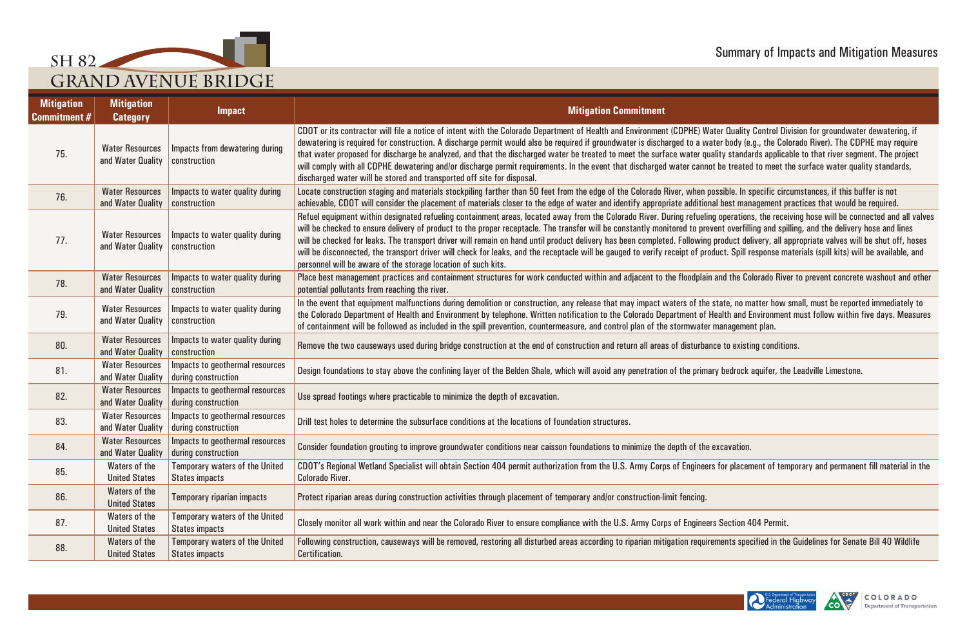





| <b>Mitigation</b><br><b>Commitment #</b> | <b>Mitigation</b><br><b>Category</b>        | <b>Impact</b>                                                                    | <b>Mitigation Commitment</b>                                                                                                                                                                                                                                                                                                                                                                                                                                                                                                                                                                                                                                                                                                                                                                                                                    |
|------------------------------------------|---------------------------------------------|----------------------------------------------------------------------------------|-------------------------------------------------------------------------------------------------------------------------------------------------------------------------------------------------------------------------------------------------------------------------------------------------------------------------------------------------------------------------------------------------------------------------------------------------------------------------------------------------------------------------------------------------------------------------------------------------------------------------------------------------------------------------------------------------------------------------------------------------------------------------------------------------------------------------------------------------|
| 75.                                      | <b>Water Resources</b><br>and Water Quality | Impacts from dewatering during<br>construction                                   | CDOT or its contractor will file a notice of intent with the Colorado Department of Health and Environment (CDPHE) Water Quality Control Division for groundwater dewatering, if<br>dewatering is required for construction. A discharge permit would also be required if groundwater is discharged to a water body (e.g., the Colorado River). The CDPHE may require<br>that water proposed for discharge be analyzed, and that the discharged water be treated to meet the surface water quality standards applicable to that river segment. The project<br>will comply with all CDPHE dewatering and/or discharge permit requirements. In the event that discharged water cannot be treated to meet the surface water quality standards,<br>discharged water will be stored and transported off site for disposal.                           |
| 76.                                      | <b>Water Resources</b><br>and Water Quality | Impacts to water quality during<br>construction                                  | Locate construction staging and materials stockpiling farther than 50 feet from the edge of the Colorado River, when possible. In specific circumstances, if this buffer is not<br>achievable, CDOT will consider the placement of materials closer to the edge of water and identify appropriate additional best management practices that would be required.                                                                                                                                                                                                                                                                                                                                                                                                                                                                                  |
| 77.                                      | <b>Water Resources</b><br>and Water Quality | Impacts to water quality during<br>construction                                  | Refuel equipment within designated refueling containment areas, located away from the Colorado River. During refueling operations, the receiving hose will be connected and all valves<br>will be checked to ensure delivery of product to the proper receptacle. The transfer will be constantly monitored to prevent overfilling and spilling, and the delivery hose and lines<br>will be checked for leaks. The transport driver will remain on hand until product delivery has been completed. Following product delivery, all appropriate valves will be shut off, hoses<br>will be disconnected, the transport driver will check for leaks, and the receptacle will be gauged to verify receipt of product. Spill response materials (spill kits) will be available, and<br>personnel will be aware of the storage location of such kits. |
| 78.                                      | <b>Water Resources</b><br>and Water Quality | Impacts to water quality during<br>construction                                  | Place best management practices and containment structures for work conducted within and adjacent to the floodplain and the Colorado River to prevent concrete washout and other<br>potential pollutants from reaching the river.                                                                                                                                                                                                                                                                                                                                                                                                                                                                                                                                                                                                               |
| 79.                                      | <b>Water Resources</b><br>and Water Quality | Impacts to water quality during<br><b>construction</b>                           | In the event that equipment malfunctions during demolition or construction, any release that may impact waters of the state, no matter how small, must be reported immediately to<br>the Colorado Department of Health and Environment by telephone. Written notification to the Colorado Department of Health and Environment must follow within five days. Measures<br>of containment will be followed as included in the spill prevention, countermeasure, and control plan of the stormwater management plan.                                                                                                                                                                                                                                                                                                                               |
| 80.                                      | <b>Water Resources</b><br>and Water Quality | Impacts to water quality during<br>construction                                  | Remove the two causeways used during bridge construction at the end of construction and return all areas of disturbance to existing conditions.                                                                                                                                                                                                                                                                                                                                                                                                                                                                                                                                                                                                                                                                                                 |
| 81.                                      | <b>Water Resources</b><br>and Water Quality | Impacts to geothermal resources<br>during construction                           | Design foundations to stay above the confining layer of the Belden Shale, which will avoid any penetration of the primary bedrock aquifer, the Leadville Limestone.                                                                                                                                                                                                                                                                                                                                                                                                                                                                                                                                                                                                                                                                             |
| 82.                                      | <b>Water Resources</b><br>and Water Quality | Impacts to geothermal resources<br>during construction                           | Use spread footings where practicable to minimize the depth of excavation.                                                                                                                                                                                                                                                                                                                                                                                                                                                                                                                                                                                                                                                                                                                                                                      |
| 83.                                      | <b>Water Resources</b>                      | Impacts to geothermal resources<br>and Water Quality   during construction       | Drill test holes to determine the subsurface conditions at the locations of foundation structures.                                                                                                                                                                                                                                                                                                                                                                                                                                                                                                                                                                                                                                                                                                                                              |
| 84.                                      | <b>Water Resources</b>                      | Impacts to geothermal resources<br>and Water Quality $\vert$ during construction | Consider foundation grouting to improve groundwater conditions near caisson foundations to minimize the depth of the excavation.                                                                                                                                                                                                                                                                                                                                                                                                                                                                                                                                                                                                                                                                                                                |
| 85.                                      | Waters of the<br><b>United States</b>       | Temporary waters of the United<br><b>States impacts</b>                          | CDOT's Regional Wetland Specialist will obtain Section 404 permit authorization from the U.S. Army Corps of Engineers for placement of temporary and permanent fill material in the<br><b>Colorado River.</b>                                                                                                                                                                                                                                                                                                                                                                                                                                                                                                                                                                                                                                   |
| 86.                                      | Waters of the<br><b>United States</b>       | <b>Temporary riparian impacts</b>                                                | Protect riparian areas during construction activities through placement of temporary and/or construction-limit fencing.                                                                                                                                                                                                                                                                                                                                                                                                                                                                                                                                                                                                                                                                                                                         |
| 87.                                      | Waters of the<br><b>United States</b>       | <b>Temporary waters of the United</b><br><b>States impacts</b>                   | Closely monitor all work within and near the Colorado River to ensure compliance with the U.S. Army Corps of Engineers Section 404 Permit.                                                                                                                                                                                                                                                                                                                                                                                                                                                                                                                                                                                                                                                                                                      |
| 88.                                      | Waters of the<br><b>United States</b>       | <b>Temporary waters of the United</b><br><b>States impacts</b>                   | Following construction, causeways will be removed, restoring all disturbed areas according to riparian mitigation requirements specified in the Guidelines for Senate Bill 40 Wildlife<br>Certification.                                                                                                                                                                                                                                                                                                                                                                                                                                                                                                                                                                                                                                        |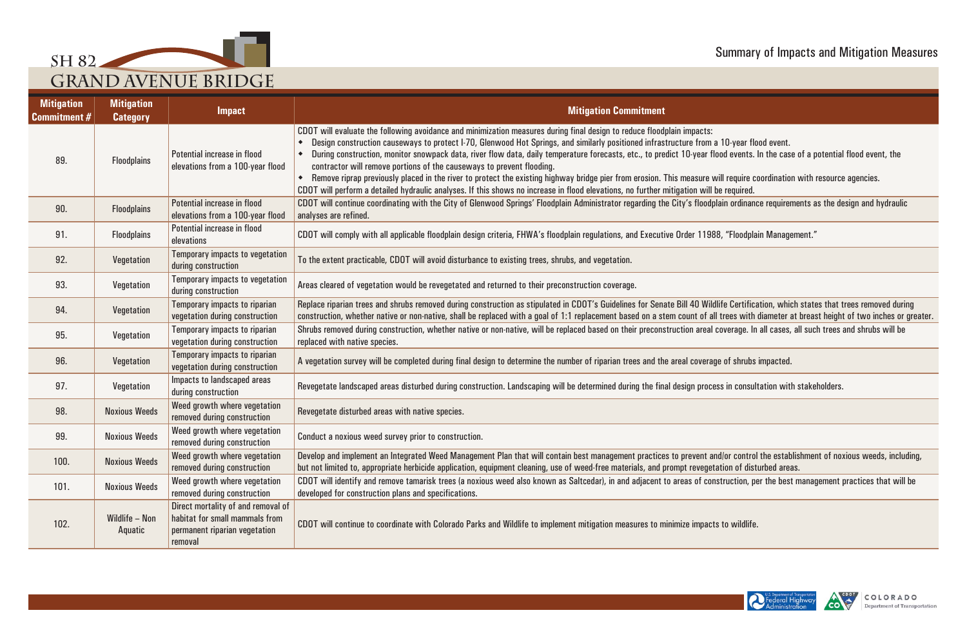

/ildlife Certification, which states that trees removed during<br>all trees with diameter at breast height of two inches or greater.

and/or control the establishment of noxious weeds, including,<br>getation of disturbed areas.

construction, per the best management practices that will be





| <b>Mitigation</b><br><b>Commitment #</b> | <b>Mitigation</b><br><b>Category</b> | <b>Impact</b>                                                                                                    | <b>Mitigation Commitment</b>                                                                                                                                                                                                                                                                                                                                                                                                                                                                                                                                                                                                                                                                                                                                                                                                                    |
|------------------------------------------|--------------------------------------|------------------------------------------------------------------------------------------------------------------|-------------------------------------------------------------------------------------------------------------------------------------------------------------------------------------------------------------------------------------------------------------------------------------------------------------------------------------------------------------------------------------------------------------------------------------------------------------------------------------------------------------------------------------------------------------------------------------------------------------------------------------------------------------------------------------------------------------------------------------------------------------------------------------------------------------------------------------------------|
| 89.                                      | <b>Floodplains</b>                   | Potential increase in flood<br>elevations from a 100-year flood                                                  | CDOT will evaluate the following avoidance and minimization measures during final design to reduce floodplain impacts:<br>Design construction causeways to protect I-70, Glenwood Hot Springs, and similarly positioned infrastructure from a 10-year flood event.<br>During construction, monitor snowpack data, river flow data, daily temperature forecasts, etc., to predict 10-year flood events. In the case of a potential flood event, the<br>contractor will remove portions of the causeways to prevent flooding.<br>Remove riprap previously placed in the river to protect the existing highway bridge pier from erosion. This measure will require coordination with resource agencies.<br>CDOT will perform a detailed hydraulic analyses. If this shows no increase in flood elevations, no further mitigation will be required. |
| 90.                                      | <b>Floodplains</b>                   | Potential increase in flood<br>elevations from a 100-year flood                                                  | CDOT will continue coordinating with the City of Glenwood Springs' Floodplain Administrator regarding the City's floodplain ordinance requirements as the design and hydraulic<br>analyses are refined.                                                                                                                                                                                                                                                                                                                                                                                                                                                                                                                                                                                                                                         |
| 91.                                      | <b>Floodplains</b>                   | Potential increase in flood<br>elevations                                                                        | CDOT will comply with all applicable floodplain design criteria, FHWA's floodplain regulations, and Executive Order 11988, "Floodplain Management."                                                                                                                                                                                                                                                                                                                                                                                                                                                                                                                                                                                                                                                                                             |
| 92.                                      | Vegetation                           | Temporary impacts to vegetation<br>during construction                                                           | To the extent practicable, CDOT will avoid disturbance to existing trees, shrubs, and vegetation.                                                                                                                                                                                                                                                                                                                                                                                                                                                                                                                                                                                                                                                                                                                                               |
| 93.                                      | Vegetation                           | Temporary impacts to vegetation<br>during construction                                                           | Areas cleared of vegetation would be revegetated and returned to their preconstruction coverage.                                                                                                                                                                                                                                                                                                                                                                                                                                                                                                                                                                                                                                                                                                                                                |
| 94.                                      | Vegetation                           | Temporary impacts to riparian<br>vegetation during construction                                                  | Replace riparian trees and shrubs removed during construction as stipulated in CDOT's Guidelines for Senate Bill 40 Wildlife Certification, which states that trees removed during<br>construction, whether native or non-native, shall be replaced with a goal of 1:1 replacement based on a stem count of all trees with diameter at breast height of two inches or                                                                                                                                                                                                                                                                                                                                                                                                                                                                           |
| 95.                                      | Vegetation                           | Temporary impacts to riparian<br>vegetation during construction                                                  | Shrubs removed during construction, whether native or non-native, will be replaced based on their preconstruction areal coverage. In all cases, all such trees and shrubs will be<br>replaced with native species.                                                                                                                                                                                                                                                                                                                                                                                                                                                                                                                                                                                                                              |
| 96.                                      | Vegetation                           | Temporary impacts to riparian<br>vegetation during construction                                                  | A vegetation survey will be completed during final design to determine the number of riparian trees and the areal coverage of shrubs impacted.                                                                                                                                                                                                                                                                                                                                                                                                                                                                                                                                                                                                                                                                                                  |
| 97.                                      | Vegetation                           | Impacts to landscaped areas<br>during construction                                                               | Revegetate landscaped areas disturbed during construction. Landscaping will be determined during the final design process in consultation with stakeholders.                                                                                                                                                                                                                                                                                                                                                                                                                                                                                                                                                                                                                                                                                    |
| 98.                                      | <b>Noxious Weeds</b>                 | Weed growth where vegetation<br>removed during construction                                                      | Revegetate disturbed areas with native species.                                                                                                                                                                                                                                                                                                                                                                                                                                                                                                                                                                                                                                                                                                                                                                                                 |
| 99.                                      | <b>Noxious Weeds</b>                 | Weed growth where vegetation<br>removed during construction                                                      | Conduct a noxious weed survey prior to construction.                                                                                                                                                                                                                                                                                                                                                                                                                                                                                                                                                                                                                                                                                                                                                                                            |
| 100.                                     | <b>Noxious Weeds</b>                 | Weed growth where vegetation<br>removed during construction                                                      | Develop and implement an Integrated Weed Management Plan that will contain best management practices to prevent and/or control the establishment of noxious weeds, inclue<br>but not limited to, appropriate herbicide application, equipment cleaning, use of weed-free materials, and prompt revegetation of disturbed areas.                                                                                                                                                                                                                                                                                                                                                                                                                                                                                                                 |
| 101.                                     | <b>Noxious Weeds</b>                 | Weed growth where vegetation<br>removed during construction                                                      | CDOT will identify and remove tamarisk trees (a noxious weed also known as Saltcedar), in and adjacent to areas of construction, per the best management practices that will<br>developed for construction plans and specifications.                                                                                                                                                                                                                                                                                                                                                                                                                                                                                                                                                                                                            |
| 102.                                     | Wildlife - Non<br>Aquatic            | Direct mortality of and removal of<br>habitat for small mammals from<br>permanent riparian vegetation<br>removal | CDOT will continue to coordinate with Colorado Parks and Wildlife to implement mitigation measures to minimize impacts to wildlife.                                                                                                                                                                                                                                                                                                                                                                                                                                                                                                                                                                                                                                                                                                             |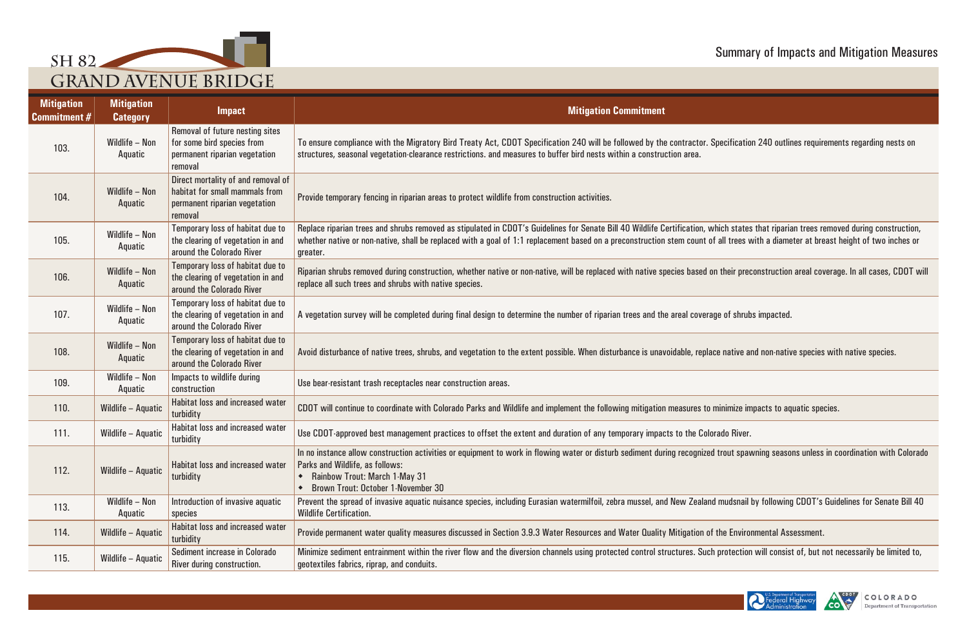

| <b>Mitigation</b><br><b>Commitment #</b> | <b>Mitigation</b><br><b>Category</b> | <b>Impact</b>                                                                                                    | <b>Mitigation Commitment</b>                                                                                                                                                                                                                                                                                                              |
|------------------------------------------|--------------------------------------|------------------------------------------------------------------------------------------------------------------|-------------------------------------------------------------------------------------------------------------------------------------------------------------------------------------------------------------------------------------------------------------------------------------------------------------------------------------------|
| 103.                                     | Wildlife - Non<br>Aquatic            | Removal of future nesting sites<br>for some bird species from<br>permanent riparian vegetation<br>removal        | To ensure compliance with the Migratory Bird Treaty Act, CDOT Specification 240 will be followed by the contractor. Specification 240 outlines requireme<br>structures, seasonal vegetation-clearance restrictions. and measures to buffer bird nests within a construction area.                                                         |
| 104.                                     | Wildlife - Non<br>Aquatic            | Direct mortality of and removal of<br>habitat for small mammals from<br>permanent riparian vegetation<br>removal | Provide temporary fencing in riparian areas to protect wildlife from construction activities.                                                                                                                                                                                                                                             |
| 105.                                     | Wildlife - Non<br>Aquatic            | Temporary loss of habitat due to<br>the clearing of vegetation in and<br>around the Colorado River               | Replace riparian trees and shrubs removed as stipulated in CDOT's Guidelines for Senate Bill 40 Wildlife Certification, which states that riparian trees remot<br>whether native or non-native, shall be replaced with a goal of 1:1 replacement based on a preconstruction stem count of all trees with a diameter at breast<br>greater. |
| 106.                                     | Wildlife - Non<br>Aquatic            | Temporary loss of habitat due to<br>the clearing of vegetation in and<br>around the Colorado River               | Riparian shrubs removed during construction, whether native or non-native, will be replaced with native species based on their preconstruction areal covera<br>replace all such trees and shrubs with native species.                                                                                                                     |
| 107.                                     | Wildlife - Non<br>Aquatic            | Temporary loss of habitat due to<br>the clearing of vegetation in and<br>around the Colorado River               | A vegetation survey will be completed during final design to determine the number of riparian trees and the areal coverage of shrubs impacted.                                                                                                                                                                                            |
| 108.                                     | Wildlife - Non<br>Aquatic            | Temporary loss of habitat due to<br>the clearing of vegetation in and<br>around the Colorado River               | Avoid disturbance of native trees, shrubs, and vegetation to the extent possible. When disturbance is unavoidable, replace native and non-native species wit                                                                                                                                                                              |
| 109.                                     | Wildlife - Non<br>Aquatic            | Impacts to wildlife during<br>construction                                                                       | Use bear-resistant trash receptacles near construction areas.                                                                                                                                                                                                                                                                             |
| 110.                                     | Wildlife - Aquatic                   | Habitat loss and increased water<br>turbidity                                                                    | CDOT will continue to coordinate with Colorado Parks and Wildlife and implement the following mitigation measures to minimize impacts to aquatic species.                                                                                                                                                                                 |
| 111.                                     | Wildlife - Aquatic                   | Habitat loss and increased water<br>turbidity                                                                    | Use CDOT-approved best management practices to offset the extent and duration of any temporary impacts to the Colorado River.                                                                                                                                                                                                             |
| 112.                                     | Wildlife - Aquatic                   | Habitat loss and increased water<br>turbidity                                                                    | In no instance allow construction activities or equipment to work in flowing water or disturb sediment during recognized trout spawning seasons unless in c<br>Parks and Wildlife, as follows:<br>• Rainbow Trout: March 1-May 31<br><b>Brown Trout: October 1-November 30</b>                                                            |
| 113.                                     | Wildlife - Non<br>Aquatic            | Introduction of invasive aquatic<br>species                                                                      | Prevent the spread of invasive aquatic nuisance species, including Eurasian watermilfoil, zebra mussel, and New Zealand mudsnail by following CDOT's Guid<br><b>Wildlife Certification.</b>                                                                                                                                               |
| 114.                                     | Wildlife - Aquatic                   | Habitat loss and increased water<br>turbidity                                                                    | Provide permanent water quality measures discussed in Section 3.9.3 Water Resources and Water Quality Mitigation of the Environmental Assessment.                                                                                                                                                                                         |
| 115.                                     | Wildlife - Aquatic                   | Sediment increase in Colorado<br>River during construction.                                                      | Minimize sediment entrainment within the river flow and the diversion channels using protected control structures. Such protection will consist of, but not r<br>geotextiles fabrics, riprap, and conduits.                                                                                                                               |

Specification 240 outlines requirements regarding nests on

which states that riparian trees removed during construction,<br>of all trees with a diameter at breast height of two inches or

on their preconstruction areal coverage. In all cases, CDOT will

ace native and non-native species with native species.

In trout spawning seasons unless in coordination with Colorado

Id mudsnail by following CDOT's Guidelines for Senate Bill 40

th protection will consist of, but not necessarily be limited to,



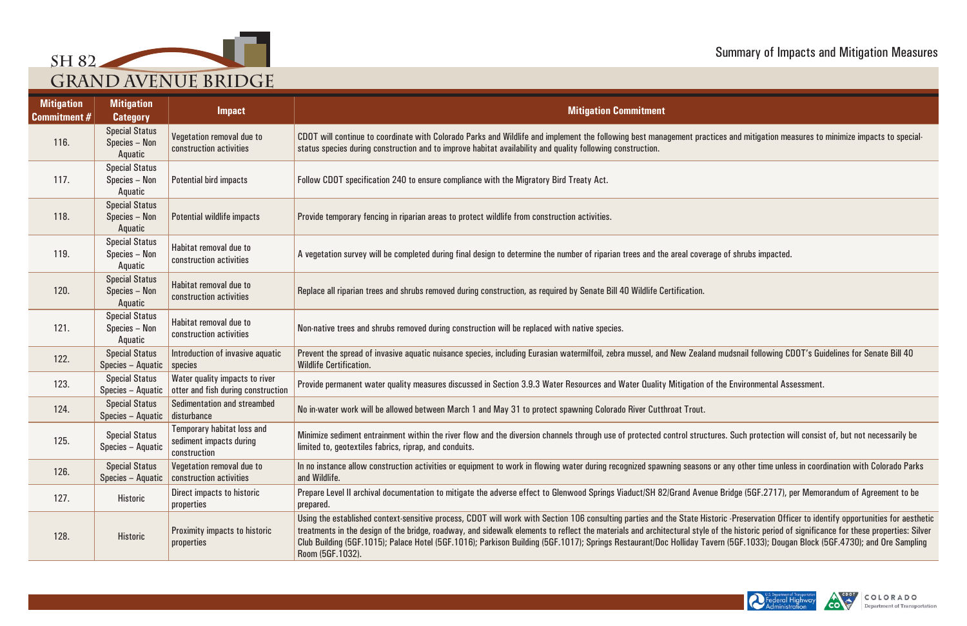

ctices and mitigation measures to minimize impacts to special-

nd mudsnail following CDOT's Guidelines for Senate Bill 40

tures. Such protection will consist of, but not necessarily be

or any other time unless in coordination with Colorado Parks

rue Bridge (5GF.2717), per Memorandum of Agreement to be

storic -Preservation Officer to identify opportunities for aesthetic the designed of significance for these properties: Silver vern (5GF.1033); Dougan Block (5GF.4730); and Ore Sampling





| <b>Mitigation</b><br><b>Commitment #</b> | <b>Mitigation</b><br><b>Category</b>              | <b>Impact</b>                                                                | <b>Mitigation Commitment</b>                                                                                                                                                                                                                                                                                                                                                                                                                                                                     |
|------------------------------------------|---------------------------------------------------|------------------------------------------------------------------------------|--------------------------------------------------------------------------------------------------------------------------------------------------------------------------------------------------------------------------------------------------------------------------------------------------------------------------------------------------------------------------------------------------------------------------------------------------------------------------------------------------|
| 116.                                     | <b>Special Status</b><br>Species - Non<br>Aquatic | Vegetation removal due to<br>construction activities                         | CDOT will continue to coordinate with Colorado Parks and Wildlife and implement the following best management practices and mitigation measures to<br>status species during construction and to improve habitat availability and quality following construction.                                                                                                                                                                                                                                 |
| 117.                                     | <b>Special Status</b><br>Species - Non<br>Aquatic | <b>Potential bird impacts</b>                                                | Follow CDOT specification 240 to ensure compliance with the Migratory Bird Treaty Act.                                                                                                                                                                                                                                                                                                                                                                                                           |
| 118.                                     | <b>Special Status</b><br>Species - Non<br>Aquatic | <b>Potential wildlife impacts</b>                                            | Provide temporary fencing in riparian areas to protect wildlife from construction activities.                                                                                                                                                                                                                                                                                                                                                                                                    |
| 119.                                     | <b>Special Status</b><br>Species - Non<br>Aquatic | Habitat removal due to<br>construction activities                            | A vegetation survey will be completed during final design to determine the number of riparian trees and the areal coverage of shrubs impacted.                                                                                                                                                                                                                                                                                                                                                   |
| 120.                                     | <b>Special Status</b><br>Species - Non<br>Aquatic | Habitat removal due to<br>construction activities                            | Replace all riparian trees and shrubs removed during construction, as required by Senate Bill 40 Wildlife Certification.                                                                                                                                                                                                                                                                                                                                                                         |
| 121.                                     | <b>Special Status</b><br>Species - Non<br>Aquatic | Habitat removal due to<br>construction activities                            | Non-native trees and shrubs removed during construction will be replaced with native species.                                                                                                                                                                                                                                                                                                                                                                                                    |
| 122.                                     | <b>Special Status</b><br>Species - Aquatic        | Introduction of invasive aquatic<br>species                                  | Prevent the spread of invasive aquatic nuisance species, including Eurasian watermilfoil, zebra mussel, and New Zealand mudsnail following CDOT's Gu<br><b>Wildlife Certification.</b>                                                                                                                                                                                                                                                                                                           |
| 123.                                     | <b>Special Status</b><br>Species - Aquatic        | Water quality impacts to river<br>otter and fish during construction         | Provide permanent water quality measures discussed in Section 3.9.3 Water Resources and Water Quality Mitigation of the Environmental Assessment.                                                                                                                                                                                                                                                                                                                                                |
| 124.                                     | <b>Special Status</b><br>Species - Aquatic        | Sedimentation and streambed<br>disturbance                                   | No in-water work will be allowed between March 1 and May 31 to protect spawning Colorado River Cutthroat Trout.                                                                                                                                                                                                                                                                                                                                                                                  |
| 125.                                     | <b>Special Status</b><br>Species - Aquatic        | <b>Temporary habitat loss and</b><br>sediment impacts during<br>construction | Minimize sediment entrainment within the river flow and the diversion channels through use of protected control structures. Such protection will consis<br>limited to, geotextiles fabrics, riprap, and conduits.                                                                                                                                                                                                                                                                                |
| 126.                                     | <b>Special Status</b><br>Species - Aquatic        | Vegetation removal due to<br>construction activities                         | In no instance allow construction activities or equipment to work in flowing water during recognized spawning seasons or any other time unless in coor<br>and Wildlife.                                                                                                                                                                                                                                                                                                                          |
| 127.                                     | <b>Historic</b>                                   | Direct impacts to historic<br>properties                                     | Prepare Level II archival documentation to mitigate the adverse effect to Glenwood Springs Viaduct/SH 82/Grand Avenue Bridge (5GF.2717), per Memo<br>prepared.                                                                                                                                                                                                                                                                                                                                   |
| 128.                                     | <b>Historic</b>                                   | <b>Proximity impacts to historic</b><br>properties                           | Using the established context-sensitive process, CDOT will work with Section 106 consulting parties and the State Historic -Preservation Officer to ide<br>treatments in the design of the bridge, roadway, and sidewalk elements to reflect the materials and architectural style of the historic period of significa<br>Club Building (5GF.1015); Palace Hotel (5GF.1016); Parkison Building (5GF.1017); Springs Restaurant/Doc Holliday Tavern (5GF.1033); Dougan Block (<br>Room (5GF.1032). |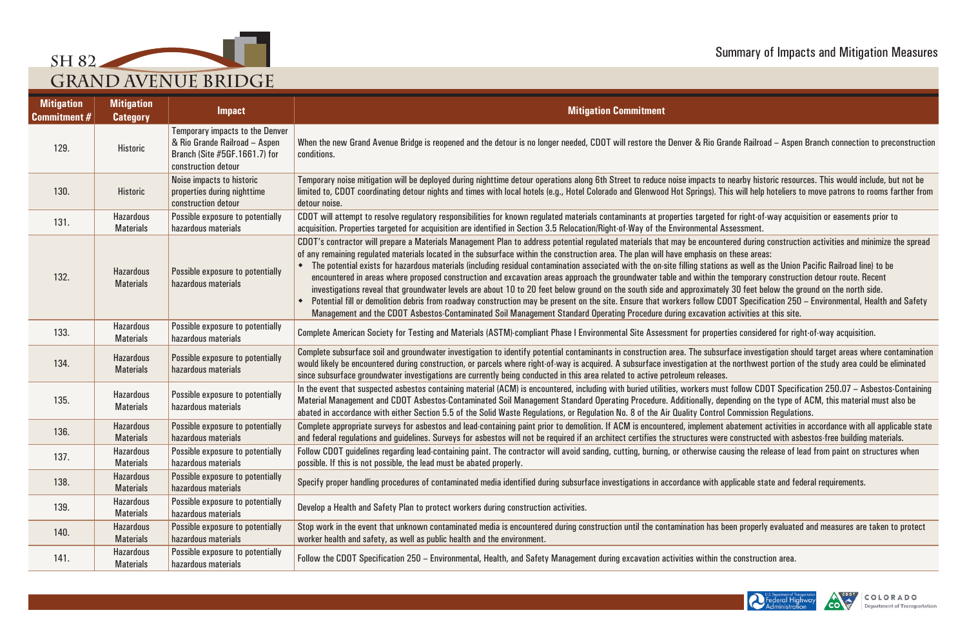





| <b>Mitigation</b><br><b>Commitment #</b> | <b>Mitigation</b><br><b>Category</b> | <b>Impact</b>                                                                                                                   | <b>Mitigation Commitment</b>                                                                                                                                                                                                                                                                                                                                                                                                                                                                                                                                                                                                                                                                                                                                                                                                                                                                                                                                                                                                                                                                                                                                                        |
|------------------------------------------|--------------------------------------|---------------------------------------------------------------------------------------------------------------------------------|-------------------------------------------------------------------------------------------------------------------------------------------------------------------------------------------------------------------------------------------------------------------------------------------------------------------------------------------------------------------------------------------------------------------------------------------------------------------------------------------------------------------------------------------------------------------------------------------------------------------------------------------------------------------------------------------------------------------------------------------------------------------------------------------------------------------------------------------------------------------------------------------------------------------------------------------------------------------------------------------------------------------------------------------------------------------------------------------------------------------------------------------------------------------------------------|
| 129.                                     | <b>Historic</b>                      | <b>Temporary impacts to the Denver</b><br>& Rio Grande Railroad - Aspen<br>Branch (Site #5GF.1661.7) for<br>construction detour | When the new Grand Avenue Bridge is reopened and the detour is no longer needed, CDOT will restore the Denver & Rio Grande Railroad – Aspen Branch connection to preconstruction<br>conditions.                                                                                                                                                                                                                                                                                                                                                                                                                                                                                                                                                                                                                                                                                                                                                                                                                                                                                                                                                                                     |
| 130.                                     | <b>Historic</b>                      | Noise impacts to historic<br>properties during nighttime<br>construction detour                                                 | Temporary noise mitigation will be deployed during nighttime detour operations along 6th Street to reduce noise impacts to nearby historic resources. This would include, but not be<br>limited to, CDOT coordinating detour nights and times with local hotels (e.g., Hotel Colorado and Glenwood Hot Springs). This will help hoteliers to move patrons to rooms farther from<br>detour noise.                                                                                                                                                                                                                                                                                                                                                                                                                                                                                                                                                                                                                                                                                                                                                                                    |
| 131.                                     | <b>Hazardous</b><br><b>Materials</b> | <b>Possible exposure to potentially</b><br>hazardous materials                                                                  | CDOT will attempt to resolve regulatory responsibilities for known regulated materials contaminants at properties targeted for right-of-way acquisition or easements prior to<br>acquisition. Properties targeted for acquisition are identified in Section 3.5 Relocation/Right-of-Way of the Environmental Assessment.                                                                                                                                                                                                                                                                                                                                                                                                                                                                                                                                                                                                                                                                                                                                                                                                                                                            |
| 132.                                     | <b>Hazardous</b><br><b>Materials</b> | Possible exposure to potentially<br>hazardous materials                                                                         | CDOT's contractor will prepare a Materials Management Plan to address potential regulated materials that may be encountered during construction activities and minimize the spread<br>of any remaining regulated materials located in the subsurface within the construction area. The plan will have emphasis on these areas:<br>The potential exists for hazardous materials (including residual contamination associated with the on-site filling stations as well as the Union Pacific Railroad line) to be<br>encountered in areas where proposed construction and excavation areas approach the groundwater table and within the temporary construction detour route. Recent<br>investigations reveal that groundwater levels are about 10 to 20 feet below ground on the south side and approximately 30 feet below the ground on the north side.<br>Potential fill or demolition debris from roadway construction may be present on the site. Ensure that workers follow CDOT Specification 250 – Environmental, Health and Safety<br>Management and the CDOT Asbestos-Contaminated Soil Management Standard Operating Procedure during excavation activities at this site. |
| 133.                                     | <b>Hazardous</b><br><b>Materials</b> | Possible exposure to potentially<br>hazardous materials                                                                         | Complete American Society for Testing and Materials (ASTM)-compliant Phase I Environmental Site Assessment for properties considered for right-of-way acquisition.                                                                                                                                                                                                                                                                                                                                                                                                                                                                                                                                                                                                                                                                                                                                                                                                                                                                                                                                                                                                                  |
| 134.                                     | <b>Hazardous</b><br><b>Materials</b> | Possible exposure to potentially<br>hazardous materials                                                                         | Complete subsurface soil and groundwater investigation to identify potential contaminants in construction area. The subsurface investigation should target areas where contamination<br>would likely be encountered during construction, or parcels where right-of-way is acquired. A subsurface investigation at the northwest portion of the study area could be eliminated<br>since subsurface groundwater investigations are currently being conducted in this area related to active petroleum releases.                                                                                                                                                                                                                                                                                                                                                                                                                                                                                                                                                                                                                                                                       |
| 135.                                     | <b>Hazardous</b><br><b>Materials</b> | Possible exposure to potentially<br>hazardous materials                                                                         | In the event that suspected asbestos containing material (ACM) is encountered, including with buried utilities, workers must follow CDOT Specification 250.07 - Asbestos-Containing<br>Material Management and CDOT Asbestos-Contaminated Soil Management Standard Operating Procedure. Additionally, depending on the type of ACM, this material must also be<br>abated in accordance with either Section 5.5 of the Solid Waste Regulations, or Regulation No. 8 of the Air Quality Control Commission Regulations.                                                                                                                                                                                                                                                                                                                                                                                                                                                                                                                                                                                                                                                               |
| 136.                                     | <b>Hazardous</b><br><b>Materials</b> | <b>Possible exposure to potentially</b><br>hazardous materials                                                                  | Complete appropriate surveys for asbestos and lead-containing paint prior to demolition. If ACM is encountered, implement abatement activities in accordance with all applicable state<br>and federal regulations and guidelines. Surveys for asbestos will not be required if an architect certifies the structures were constructed with asbestos-free building materials.                                                                                                                                                                                                                                                                                                                                                                                                                                                                                                                                                                                                                                                                                                                                                                                                        |
| 137.                                     | <b>Hazardous</b><br><b>Materials</b> | Possible exposure to potentially<br>hazardous materials                                                                         | Follow CDOT guidelines regarding lead-containing paint. The contractor will avoid sanding, cutting, burning, or otherwise causing the release of lead from paint on structures when<br>possible. If this is not possible, the lead must be abated properly.                                                                                                                                                                                                                                                                                                                                                                                                                                                                                                                                                                                                                                                                                                                                                                                                                                                                                                                         |
| 138.                                     | <b>Hazardous</b><br><b>Materials</b> | Possible exposure to potentially<br>hazardous materials                                                                         | Specify proper handling procedures of contaminated media identified during subsurface investigations in accordance with applicable state and federal requirements.                                                                                                                                                                                                                                                                                                                                                                                                                                                                                                                                                                                                                                                                                                                                                                                                                                                                                                                                                                                                                  |
| 139.                                     | <b>Hazardous</b><br><b>Materials</b> | Possible exposure to potentially<br>hazardous materials                                                                         | Develop a Health and Safety Plan to protect workers during construction activities.                                                                                                                                                                                                                                                                                                                                                                                                                                                                                                                                                                                                                                                                                                                                                                                                                                                                                                                                                                                                                                                                                                 |
| 140.                                     | <b>Hazardous</b><br><b>Materials</b> | Possible exposure to potentially<br>hazardous materials                                                                         | Stop work in the event that unknown contaminated media is encountered during construction until the contamination has been properly evaluated and measures are taken to protect<br>worker health and safety, as well as public health and the environment.                                                                                                                                                                                                                                                                                                                                                                                                                                                                                                                                                                                                                                                                                                                                                                                                                                                                                                                          |
| 141.                                     | <b>Hazardous</b><br><b>Materials</b> | Possible exposure to potentially<br>hazardous materials                                                                         | Follow the CDOT Specification 250 - Environmental, Health, and Safety Management during excavation activities within the construction area.                                                                                                                                                                                                                                                                                                                                                                                                                                                                                                                                                                                                                                                                                                                                                                                                                                                                                                                                                                                                                                         |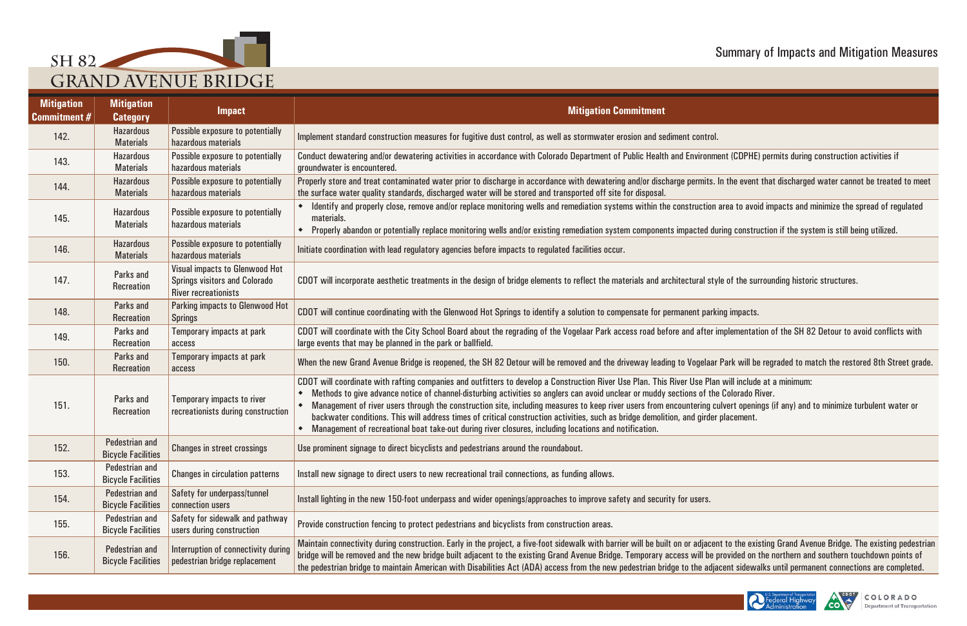





| <b>Mitigation</b><br><b>Commitment #</b> | <b>Mitigation</b><br><b>Category</b>               | <b>Impact</b>                                                                                                | <b>Mitigation Commitment</b>                                                                                                                                                                                                                                                                                                                                                                                                                                                                                                                                                                                                                                                                                                   |
|------------------------------------------|----------------------------------------------------|--------------------------------------------------------------------------------------------------------------|--------------------------------------------------------------------------------------------------------------------------------------------------------------------------------------------------------------------------------------------------------------------------------------------------------------------------------------------------------------------------------------------------------------------------------------------------------------------------------------------------------------------------------------------------------------------------------------------------------------------------------------------------------------------------------------------------------------------------------|
| 142.                                     | <b>Hazardous</b><br><b>Materials</b>               | Possible exposure to potentially<br>hazardous materials                                                      | Implement standard construction measures for fugitive dust control, as well as stormwater erosion and sediment control.                                                                                                                                                                                                                                                                                                                                                                                                                                                                                                                                                                                                        |
| 143.                                     | <b>Hazardous</b><br><b>Materials</b>               | Possible exposure to potentially<br>hazardous materials                                                      | Conduct dewatering and/or dewatering activities in accordance with Colorado Department of Public Health and Environment (CDPHE) permits during construction activities if<br>groundwater is encountered.                                                                                                                                                                                                                                                                                                                                                                                                                                                                                                                       |
| 144.                                     | <b>Hazardous</b><br><b>Materials</b>               | Possible exposure to potentially<br>hazardous materials                                                      | Properly store and treat contaminated water prior to discharge in accordance with dewatering and/or discharge permits. In the event that discharged water cannot be treated to meet<br>the surface water quality standards, discharged water will be stored and transported off site for disposal.                                                                                                                                                                                                                                                                                                                                                                                                                             |
| 145.                                     | <b>Hazardous</b><br><b>Materials</b>               | Possible exposure to potentially<br>hazardous materials                                                      | • Identify and properly close, remove and/or replace monitoring wells and remediation systems within the construction area to avoid impacts and minimize the spread of regulated<br>materials.<br>Properly abandon or potentially replace monitoring wells and/or existing remediation system components impacted during construction if the system is still being utilized.                                                                                                                                                                                                                                                                                                                                                   |
| 146.                                     | <b>Hazardous</b><br><b>Materials</b>               | Possible exposure to potentially<br>hazardous materials                                                      | Initiate coordination with lead regulatory agencies before impacts to regulated facilities occur.                                                                                                                                                                                                                                                                                                                                                                                                                                                                                                                                                                                                                              |
| 147.                                     | Parks and<br>Recreation                            | <b>Visual impacts to Glenwood Hot</b><br><b>Springs visitors and Colorado</b><br><b>River recreationists</b> | CDOT will incorporate aesthetic treatments in the design of bridge elements to reflect the materials and architectural style of the surrounding historic structures.                                                                                                                                                                                                                                                                                                                                                                                                                                                                                                                                                           |
| 148.                                     | Parks and<br><b>Recreation</b>                     | <b>Parking impacts to Glenwood Hot</b><br><b>Springs</b>                                                     | CDOT will continue coordinating with the Glenwood Hot Springs to identify a solution to compensate for permanent parking impacts.                                                                                                                                                                                                                                                                                                                                                                                                                                                                                                                                                                                              |
| 149.                                     | Parks and<br><b>Recreation</b>                     | Temporary impacts at park<br>access                                                                          | CDOT will coordinate with the City School Board about the regrading of the Vogelaar Park access road before and after implementation of the SH 82 Detour to avoid conflicts with<br>large events that may be planned in the park or ballfield.                                                                                                                                                                                                                                                                                                                                                                                                                                                                                 |
| 150.                                     | Parks and<br><b>Recreation</b>                     | Temporary impacts at park<br>access                                                                          | When the new Grand Avenue Bridge is reopened, the SH 82 Detour will be removed and the driveway leading to Vogelaar Park will be regraded to match the restored 8th Street grade.                                                                                                                                                                                                                                                                                                                                                                                                                                                                                                                                              |
| 151.                                     | Parks and<br><b>Recreation</b>                     | Temporary impacts to river<br>recreationists during construction                                             | CDOT will coordinate with rafting companies and outfitters to develop a Construction River Use Plan. This River Use Plan will include at a minimum:<br>Methods to give advance notice of channel-disturbing activities so anglers can avoid unclear or muddy sections of the Colorado River.<br>Management of river users through the construction site, including measures to keep river users from encountering culvert openings (if any) and to minimize turbulent water or<br>backwater conditions. This will address times of critical construction activities, such as bridge demolition, and girder placement.<br>Management of recreational boat take-out during river closures, including locations and notification. |
| 152.                                     | Pedestrian and<br><b>Bicycle Facilities</b>        | <b>Changes in street crossings</b>                                                                           | Use prominent signage to direct bicyclists and pedestrians around the roundabout.                                                                                                                                                                                                                                                                                                                                                                                                                                                                                                                                                                                                                                              |
| 153.                                     | Pedestrian and<br><b>Bicycle Facilities</b>        | <b>Changes in circulation patterns</b>                                                                       | Install new signage to direct users to new recreational trail connections, as funding allows.                                                                                                                                                                                                                                                                                                                                                                                                                                                                                                                                                                                                                                  |
| 154.                                     | Pedestrian and<br><b>Bicycle Facilities</b>        | Safety for underpass/tunnel<br>connection users                                                              | Install lighting in the new 150-foot underpass and wider openings/approaches to improve safety and security for users.                                                                                                                                                                                                                                                                                                                                                                                                                                                                                                                                                                                                         |
| 155.                                     | Pedestrian and<br><b>Bicycle Facilities</b>        | Safety for sidewalk and pathway<br>users during construction                                                 | Provide construction fencing to protect pedestrians and bicyclists from construction areas.                                                                                                                                                                                                                                                                                                                                                                                                                                                                                                                                                                                                                                    |
| 156.                                     | <b>Pedestrian and</b><br><b>Bicycle Facilities</b> | Interruption of connectivity during<br>pedestrian bridge replacement                                         | Maintain connectivity during construction. Early in the project, a five-foot sidewalk with barrier will be built on or adjacent to the existing Grand Avenue Bridge. The existing pedestrian<br>bridge will be removed and the new bridge built adjacent to the existing Grand Avenue Bridge. Temporary access will be provided on the northern and southern touchdown points of<br>the pedestrian bridge to maintain American with Disabilities Act (ADA) access from the new pedestrian bridge to the adjacent sidewalks until permanent connections are completed.                                                                                                                                                          |